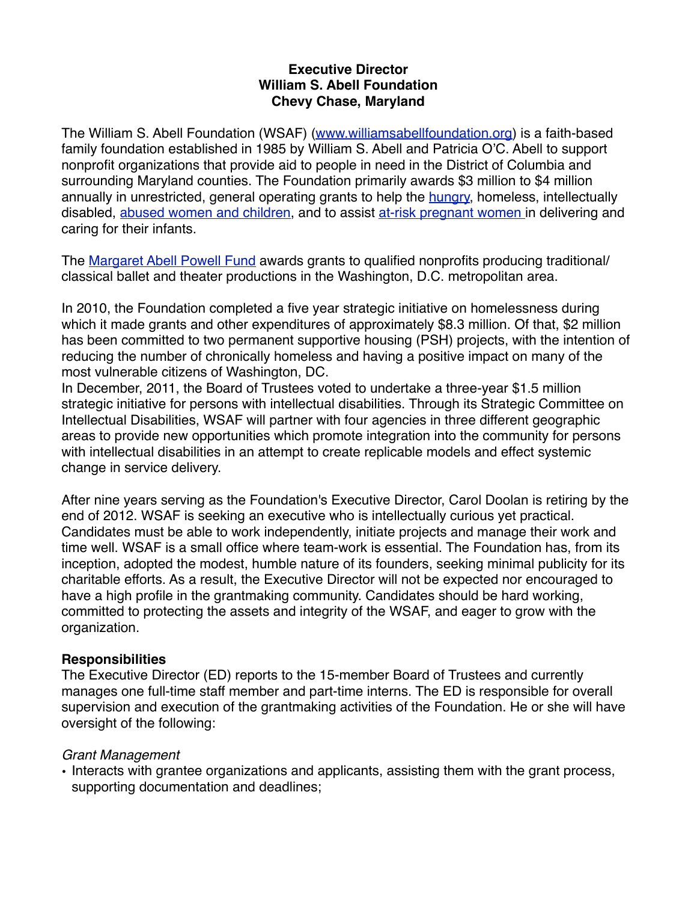### **Executive Director William S. Abell Foundation Chevy Chase, Maryland**

The William S. Abell Foundation (WSAF) [\(www.williamsabellfoundation.org](http://www.williamsabellfoundation.org)) is a faith-based family foundation established in 1985 by William S. Abell and Patricia O'C. Abell to support nonprofit organizations that provide aid to people in need in the District of Columbia and surrounding Maryland counties. The Foundation primarily awards \$3 million to \$4 million annually in unrestricted, general operating grants to help the [hungry,](http://www.williamsabellfoundation.org/support_hungry) homeless, intellectually disabled, [abused women and children](http://www.williamsabellfoundation.org/support_abused_women_and_children), and to assist [at-risk pregnant women i](http://www.williamsabellfoundation.org/support_needy_women_crisis_pregnancies)n delivering and caring for their infants.

The [Margaret Abell Powell Fund](http://www.williamsabellfoundation.org/margaret_abell_powell_fund) awards grants to qualified nonprofits producing traditional/ classical ballet and theater productions in the Washington, D.C. metropolitan area.

In 2010, the Foundation completed a five year strategic initiative on homelessness during which it made grants and other expenditures of approximately \$8.3 million. Of that, \$2 million has been committed to two permanent supportive housing (PSH) projects, with the intention of reducing the number of chronically homeless and having a positive impact on many of the most vulnerable citizens of Washington, DC.

In December, 2011, the Board of Trustees voted to undertake a three-year \$1.5 million strategic initiative for persons with intellectual disabilities. Through its Strategic Committee on Intellectual Disabilities, WSAF will partner with four agencies in three different geographic areas to provide new opportunities which promote integration into the community for persons with intellectual disabilities in an attempt to create replicable models and effect systemic change in service delivery.

After nine years serving as the Foundation's Executive Director, Carol Doolan is retiring by the end of 2012. WSAF is seeking an executive who is intellectually curious yet practical. Candidates must be able to work independently, initiate projects and manage their work and time well. WSAF is a small office where team-work is essential. The Foundation has, from its inception, adopted the modest, humble nature of its founders, seeking minimal publicity for its charitable efforts. As a result, the Executive Director will not be expected nor encouraged to have a high profile in the grantmaking community. Candidates should be hard working, committed to protecting the assets and integrity of the WSAF, and eager to grow with the organization.

### **Responsibilities**

The Executive Director (ED) reports to the 15-member Board of Trustees and currently manages one full-time staff member and part-time interns. The ED is responsible for overall supervision and execution of the grantmaking activities of the Foundation. He or she will have oversight of the following:

### *Grant Management*

• Interacts with grantee organizations and applicants, assisting them with the grant process, supporting documentation and deadlines;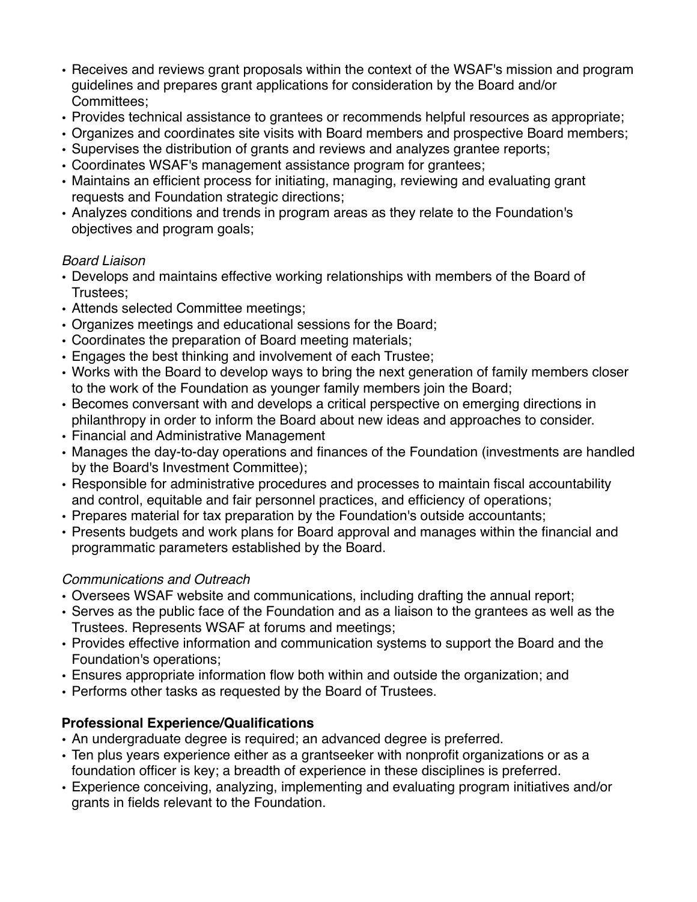- Receives and reviews grant proposals within the context of the WSAF's mission and program guidelines and prepares grant applications for consideration by the Board and/or Committees;
- Provides technical assistance to grantees or recommends helpful resources as appropriate;
- Organizes and coordinates site visits with Board members and prospective Board members;
- Supervises the distribution of grants and reviews and analyzes grantee reports;
- Coordinates WSAF's management assistance program for grantees;
- Maintains an efficient process for initiating, managing, reviewing and evaluating grant requests and Foundation strategic directions;
- Analyzes conditions and trends in program areas as they relate to the Foundation's objectives and program goals;

## *Board Liaison*

- Develops and maintains effective working relationships with members of the Board of Trustees;
- Attends selected Committee meetings;
- Organizes meetings and educational sessions for the Board;
- Coordinates the preparation of Board meeting materials;
- Engages the best thinking and involvement of each Trustee;
- Works with the Board to develop ways to bring the next generation of family members closer to the work of the Foundation as younger family members join the Board;
- Becomes conversant with and develops a critical perspective on emerging directions in philanthropy in order to inform the Board about new ideas and approaches to consider.
- Financial and Administrative Management
- Manages the day-to-day operations and finances of the Foundation (investments are handled by the Board's Investment Committee);
- Responsible for administrative procedures and processes to maintain fiscal accountability and control, equitable and fair personnel practices, and efficiency of operations;
- Prepares material for tax preparation by the Foundation's outside accountants;
- Presents budgets and work plans for Board approval and manages within the financial and programmatic parameters established by the Board.

# *Communications and Outreach*

- Oversees WSAF website and communications, including drafting the annual report;
- Serves as the public face of the Foundation and as a liaison to the grantees as well as the Trustees. Represents WSAF at forums and meetings;
- Provides effective information and communication systems to support the Board and the Foundation's operations;
- Ensures appropriate information flow both within and outside the organization; and
- Performs other tasks as requested by the Board of Trustees.

# **Professional Experience/Qualifications**

- An undergraduate degree is required; an advanced degree is preferred.
- Ten plus years experience either as a grantseeker with nonprofit organizations or as a foundation officer is key; a breadth of experience in these disciplines is preferred.
- Experience conceiving, analyzing, implementing and evaluating program initiatives and/or grants in fields relevant to the Foundation.